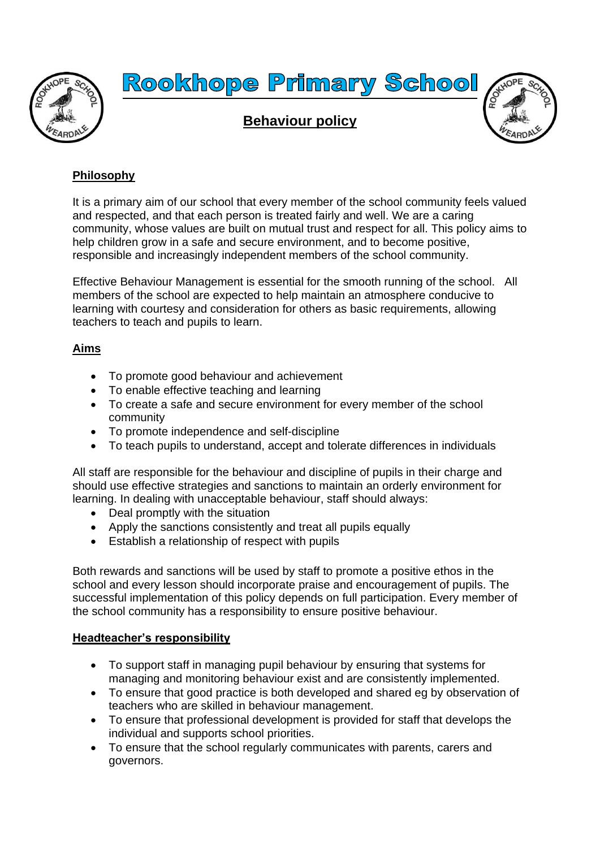



# **Philosophy**

It is a primary aim of our school that every member of the school community feels valued and respected, and that each person is treated fairly and well. We are a caring community, whose values are built on mutual trust and respect for all. This policy aims to help children grow in a safe and secure environment, and to become positive, responsible and increasingly independent members of the school community.

Effective Behaviour Management is essential for the smooth running of the school. All members of the school are expected to help maintain an atmosphere conducive to learning with courtesy and consideration for others as basic requirements, allowing teachers to teach and pupils to learn.

### **Aims**

- To promote good behaviour and achievement
- To enable effective teaching and learning
- To create a safe and secure environment for every member of the school community
- To promote independence and self-discipline
- To teach pupils to understand, accept and tolerate differences in individuals

All staff are responsible for the behaviour and discipline of pupils in their charge and should use effective strategies and sanctions to maintain an orderly environment for learning. In dealing with unacceptable behaviour, staff should always:

- Deal promptly with the situation
- Apply the sanctions consistently and treat all pupils equally
- Establish a relationship of respect with pupils

Both rewards and sanctions will be used by staff to promote a positive ethos in the school and every lesson should incorporate praise and encouragement of pupils. The successful implementation of this policy depends on full participation. Every member of the school community has a responsibility to ensure positive behaviour.

#### **Headteacher's responsibility**

- To support staff in managing pupil behaviour by ensuring that systems for managing and monitoring behaviour exist and are consistently implemented.
- To ensure that good practice is both developed and shared eg by observation of teachers who are skilled in behaviour management.
- To ensure that professional development is provided for staff that develops the individual and supports school priorities.
- To ensure that the school regularly communicates with parents, carers and governors.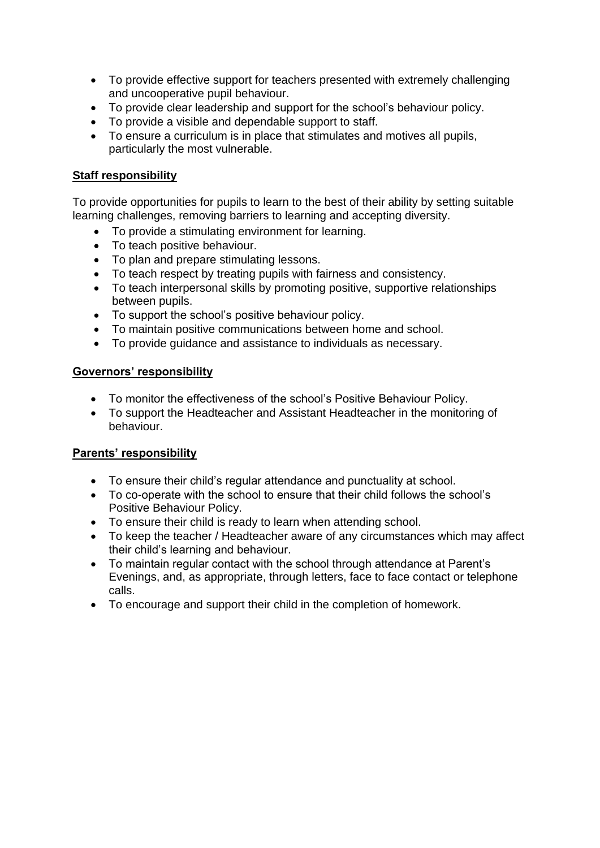- To provide effective support for teachers presented with extremely challenging and uncooperative pupil behaviour.
- To provide clear leadership and support for the school's behaviour policy.
- To provide a visible and dependable support to staff.
- To ensure a curriculum is in place that stimulates and motives all pupils, particularly the most vulnerable.

## **Staff responsibility**

To provide opportunities for pupils to learn to the best of their ability by setting suitable learning challenges, removing barriers to learning and accepting diversity.

- To provide a stimulating environment for learning.
- To teach positive behaviour.
- To plan and prepare stimulating lessons.
- To teach respect by treating pupils with fairness and consistency.
- To teach interpersonal skills by promoting positive, supportive relationships between pupils.
- To support the school's positive behaviour policy.
- To maintain positive communications between home and school.
- To provide guidance and assistance to individuals as necessary.

### **Governors' responsibility**

- To monitor the effectiveness of the school's Positive Behaviour Policy.
- To support the Headteacher and Assistant Headteacher in the monitoring of behaviour.

## **Parents' responsibility**

- To ensure their child's regular attendance and punctuality at school.
- To co-operate with the school to ensure that their child follows the school's Positive Behaviour Policy.
- To ensure their child is ready to learn when attending school.
- To keep the teacher / Headteacher aware of any circumstances which may affect their child's learning and behaviour.
- To maintain regular contact with the school through attendance at Parent's Evenings, and, as appropriate, through letters, face to face contact or telephone calls.
- To encourage and support their child in the completion of homework.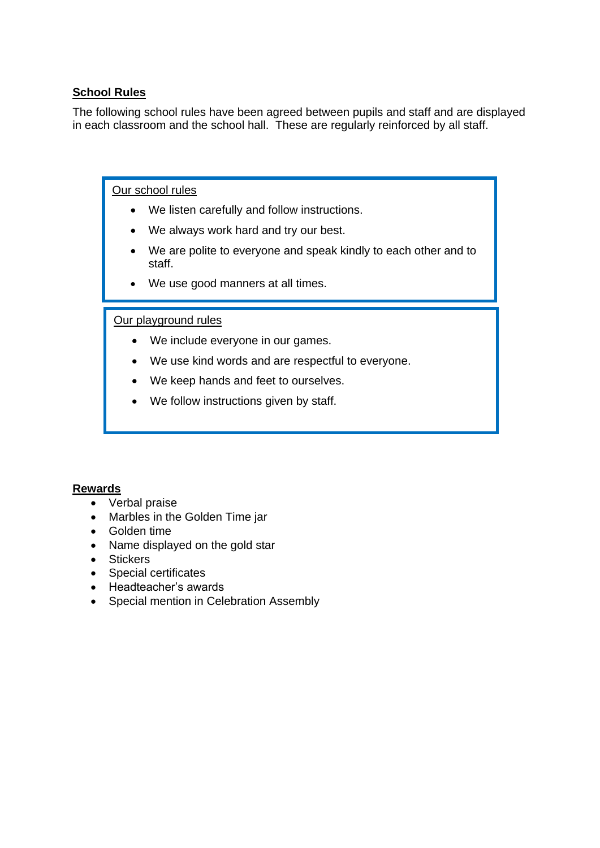## **School Rules**

The following school rules have been agreed between pupils and staff and are displayed in each classroom and the school hall. These are regularly reinforced by all staff.

#### Our school rules

- We listen carefully and follow instructions.
- We always work hard and try our best.
- We are polite to everyone and speak kindly to each other and to staff.
- We use good manners at all times.

#### Our playground rules

- We include everyone in our games.
- We use kind words and are respectful to everyone.
- We keep hands and feet to ourselves.
- We follow instructions given by staff.

#### **Rewards**

- Verbal praise
- Marbles in the Golden Time jar
- Golden time
- Name displayed on the gold star
- Stickers
- Special certificates
- Headteacher's awards
- Special mention in Celebration Assembly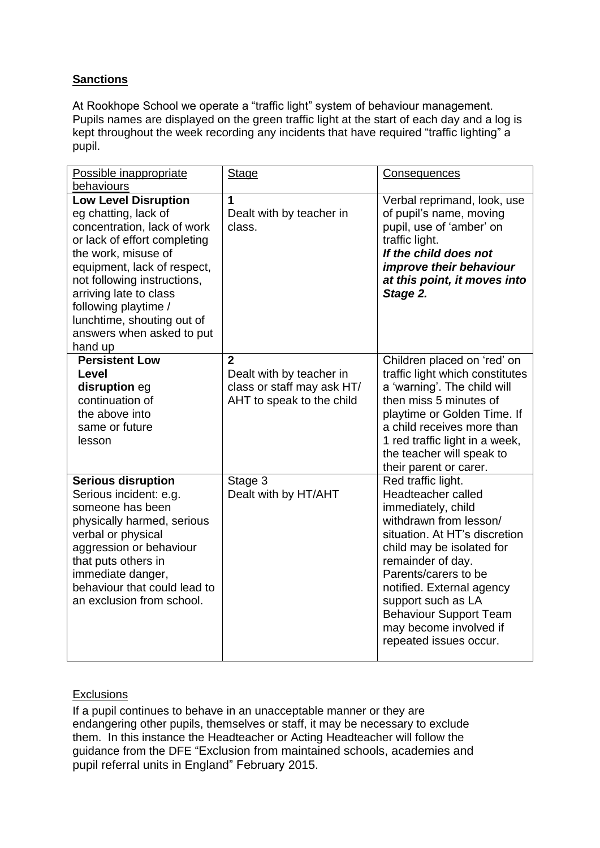# **Sanctions**

At Rookhope School we operate a "traffic light" system of behaviour management. Pupils names are displayed on the green traffic light at the start of each day and a log is kept throughout the week recording any incidents that have required "traffic lighting" a pupil.

| Possible inappropriate                                                                                                                                                                                                                                                                                                          | <b>Stage</b>                                                                                          | <b>Consequences</b>                                                                                                                                                                                                                                                                                                                         |
|---------------------------------------------------------------------------------------------------------------------------------------------------------------------------------------------------------------------------------------------------------------------------------------------------------------------------------|-------------------------------------------------------------------------------------------------------|---------------------------------------------------------------------------------------------------------------------------------------------------------------------------------------------------------------------------------------------------------------------------------------------------------------------------------------------|
| behaviours                                                                                                                                                                                                                                                                                                                      |                                                                                                       |                                                                                                                                                                                                                                                                                                                                             |
| <b>Low Level Disruption</b><br>eg chatting, lack of<br>concentration, lack of work<br>or lack of effort completing<br>the work, misuse of<br>equipment, lack of respect,<br>not following instructions,<br>arriving late to class<br>following playtime /<br>lunchtime, shouting out of<br>answers when asked to put<br>hand up | 1<br>Dealt with by teacher in<br>class.                                                               | Verbal reprimand, look, use<br>of pupil's name, moving<br>pupil, use of 'amber' on<br>traffic light.<br>If the child does not<br><i>improve their behaviour</i><br>at this point, it moves into<br>Stage 2.                                                                                                                                 |
| <b>Persistent Low</b><br>Level<br>disruption eg<br>continuation of<br>the above into<br>same or future<br>lesson                                                                                                                                                                                                                | $\overline{2}$<br>Dealt with by teacher in<br>class or staff may ask HT/<br>AHT to speak to the child | Children placed on 'red' on<br>traffic light which constitutes<br>a 'warning'. The child will<br>then miss 5 minutes of<br>playtime or Golden Time. If<br>a child receives more than<br>1 red traffic light in a week,<br>the teacher will speak to<br>their parent or carer.                                                               |
| <b>Serious disruption</b><br>Serious incident: e.g.<br>someone has been<br>physically harmed, serious<br>verbal or physical<br>aggression or behaviour<br>that puts others in<br>immediate danger,<br>behaviour that could lead to<br>an exclusion from school.                                                                 | Stage 3<br>Dealt with by HT/AHT                                                                       | Red traffic light.<br>Headteacher called<br>immediately, child<br>withdrawn from lesson/<br>situation. At HT's discretion<br>child may be isolated for<br>remainder of day.<br>Parents/carers to be<br>notified. External agency<br>support such as LA<br><b>Behaviour Support Team</b><br>may become involved if<br>repeated issues occur. |

## **Exclusions**

If a pupil continues to behave in an unacceptable manner or they are endangering other pupils, themselves or staff, it may be necessary to exclude them. In this instance the Headteacher or Acting Headteacher will follow the guidance from the DFE "[Exclusion from maintained schools,](https://www.gov.uk/government/uploads/system/uploads/attachment_data/file/269681/Exclusion_from_maintained_schools__academies_and_pupil_referral_units.pdf) academies and [pupil referral units in England"](https://www.gov.uk/government/uploads/system/uploads/attachment_data/file/269681/Exclusion_from_maintained_schools__academies_and_pupil_referral_units.pdf) February 2015.